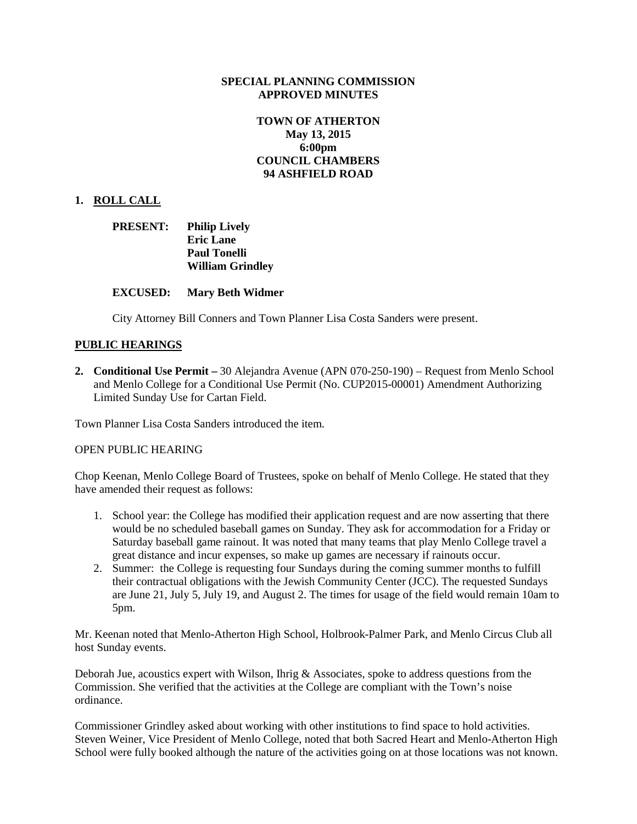#### **SPECIAL PLANNING COMMISSION APPROVED MINUTES**

# **TOWN OF ATHERTON May 13, 2015 6:00pm COUNCIL CHAMBERS 94 ASHFIELD ROAD**

# **1. ROLL CALL**

| <b>PRESENT:</b> | <b>Philip Lively</b>    |
|-----------------|-------------------------|
|                 | <b>Eric Lane</b>        |
|                 | <b>Paul Tonelli</b>     |
|                 | <b>William Grindley</b> |

## **EXCUSED: Mary Beth Widmer**

City Attorney Bill Conners and Town Planner Lisa Costa Sanders were present.

# **PUBLIC HEARINGS**

**2. Conditional Use Permit –** 30 Alejandra Avenue (APN 070-250-190) – Request from Menlo School and Menlo College for a Conditional Use Permit (No. CUP2015-00001) Amendment Authorizing Limited Sunday Use for Cartan Field.

Town Planner Lisa Costa Sanders introduced the item.

# OPEN PUBLIC HEARING

Chop Keenan, Menlo College Board of Trustees, spoke on behalf of Menlo College. He stated that they have amended their request as follows:

- 1. School year: the College has modified their application request and are now asserting that there would be no scheduled baseball games on Sunday. They ask for accommodation for a Friday or Saturday baseball game rainout. It was noted that many teams that play Menlo College travel a great distance and incur expenses, so make up games are necessary if rainouts occur.
- 2. Summer: the College is requesting four Sundays during the coming summer months to fulfill their contractual obligations with the Jewish Community Center (JCC). The requested Sundays are June 21, July 5, July 19, and August 2. The times for usage of the field would remain 10am to 5pm.

Mr. Keenan noted that Menlo-Atherton High School, Holbrook-Palmer Park, and Menlo Circus Club all host Sunday events.

Deborah Jue, acoustics expert with Wilson, Ihrig & Associates, spoke to address questions from the Commission. She verified that the activities at the College are compliant with the Town's noise ordinance.

Commissioner Grindley asked about working with other institutions to find space to hold activities. Steven Weiner, Vice President of Menlo College, noted that both Sacred Heart and Menlo-Atherton High School were fully booked although the nature of the activities going on at those locations was not known.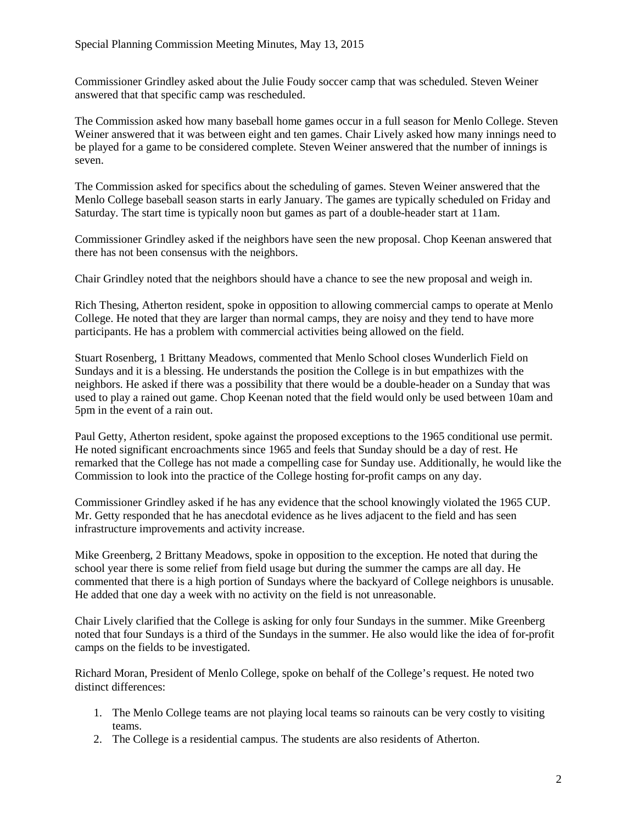Commissioner Grindley asked about the Julie Foudy soccer camp that was scheduled. Steven Weiner answered that that specific camp was rescheduled.

The Commission asked how many baseball home games occur in a full season for Menlo College. Steven Weiner answered that it was between eight and ten games. Chair Lively asked how many innings need to be played for a game to be considered complete. Steven Weiner answered that the number of innings is seven.

The Commission asked for specifics about the scheduling of games. Steven Weiner answered that the Menlo College baseball season starts in early January. The games are typically scheduled on Friday and Saturday. The start time is typically noon but games as part of a double-header start at 11am.

Commissioner Grindley asked if the neighbors have seen the new proposal. Chop Keenan answered that there has not been consensus with the neighbors.

Chair Grindley noted that the neighbors should have a chance to see the new proposal and weigh in.

Rich Thesing, Atherton resident, spoke in opposition to allowing commercial camps to operate at Menlo College. He noted that they are larger than normal camps, they are noisy and they tend to have more participants. He has a problem with commercial activities being allowed on the field.

Stuart Rosenberg, 1 Brittany Meadows, commented that Menlo School closes Wunderlich Field on Sundays and it is a blessing. He understands the position the College is in but empathizes with the neighbors. He asked if there was a possibility that there would be a double-header on a Sunday that was used to play a rained out game. Chop Keenan noted that the field would only be used between 10am and 5pm in the event of a rain out.

Paul Getty, Atherton resident, spoke against the proposed exceptions to the 1965 conditional use permit. He noted significant encroachments since 1965 and feels that Sunday should be a day of rest. He remarked that the College has not made a compelling case for Sunday use. Additionally, he would like the Commission to look into the practice of the College hosting for-profit camps on any day.

Commissioner Grindley asked if he has any evidence that the school knowingly violated the 1965 CUP. Mr. Getty responded that he has anecdotal evidence as he lives adjacent to the field and has seen infrastructure improvements and activity increase.

Mike Greenberg, 2 Brittany Meadows, spoke in opposition to the exception. He noted that during the school year there is some relief from field usage but during the summer the camps are all day. He commented that there is a high portion of Sundays where the backyard of College neighbors is unusable. He added that one day a week with no activity on the field is not unreasonable.

Chair Lively clarified that the College is asking for only four Sundays in the summer. Mike Greenberg noted that four Sundays is a third of the Sundays in the summer. He also would like the idea of for-profit camps on the fields to be investigated.

Richard Moran, President of Menlo College, spoke on behalf of the College's request. He noted two distinct differences:

- 1. The Menlo College teams are not playing local teams so rainouts can be very costly to visiting teams.
- 2. The College is a residential campus. The students are also residents of Atherton.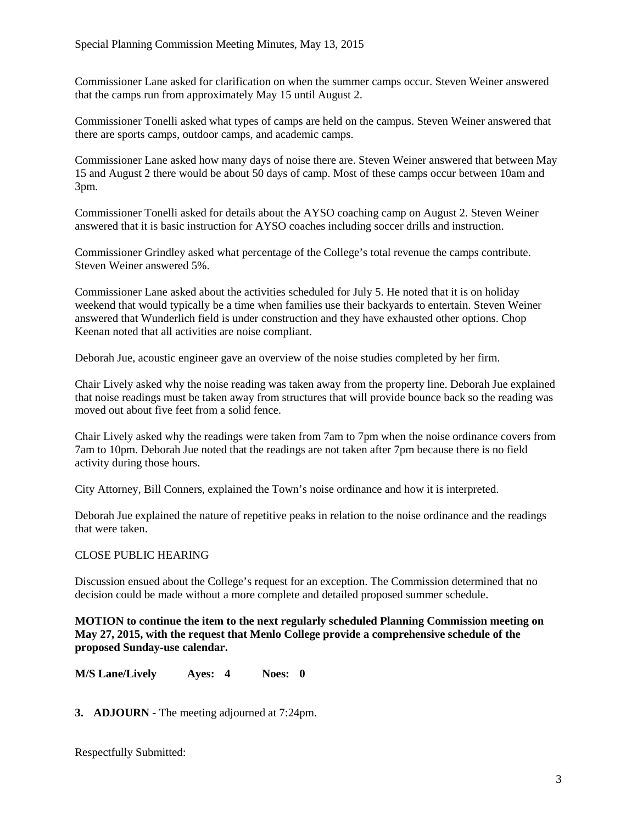Commissioner Lane asked for clarification on when the summer camps occur. Steven Weiner answered that the camps run from approximately May 15 until August 2.

Commissioner Tonelli asked what types of camps are held on the campus. Steven Weiner answered that there are sports camps, outdoor camps, and academic camps.

Commissioner Lane asked how many days of noise there are. Steven Weiner answered that between May 15 and August 2 there would be about 50 days of camp. Most of these camps occur between 10am and 3pm.

Commissioner Tonelli asked for details about the AYSO coaching camp on August 2. Steven Weiner answered that it is basic instruction for AYSO coaches including soccer drills and instruction.

Commissioner Grindley asked what percentage of the College's total revenue the camps contribute. Steven Weiner answered 5%.

Commissioner Lane asked about the activities scheduled for July 5. He noted that it is on holiday weekend that would typically be a time when families use their backyards to entertain. Steven Weiner answered that Wunderlich field is under construction and they have exhausted other options. Chop Keenan noted that all activities are noise compliant.

Deborah Jue, acoustic engineer gave an overview of the noise studies completed by her firm.

Chair Lively asked why the noise reading was taken away from the property line. Deborah Jue explained that noise readings must be taken away from structures that will provide bounce back so the reading was moved out about five feet from a solid fence.

Chair Lively asked why the readings were taken from 7am to 7pm when the noise ordinance covers from 7am to 10pm. Deborah Jue noted that the readings are not taken after 7pm because there is no field activity during those hours.

City Attorney, Bill Conners, explained the Town's noise ordinance and how it is interpreted.

Deborah Jue explained the nature of repetitive peaks in relation to the noise ordinance and the readings that were taken.

# CLOSE PUBLIC HEARING

Discussion ensued about the College's request for an exception. The Commission determined that no decision could be made without a more complete and detailed proposed summer schedule.

**MOTION to continue the item to the next regularly scheduled Planning Commission meeting on May 27, 2015, with the request that Menlo College provide a comprehensive schedule of the proposed Sunday-use calendar.**

**M/S Lane/Lively Ayes: 4 Noes: 0**

**3. ADJOURN -** The meeting adjourned at 7:24pm.

Respectfully Submitted: